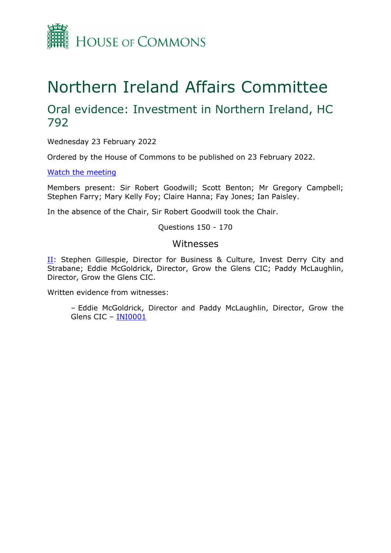

# Northern Ireland Affairs Committee

## Oral evidence: Investment in Northern Ireland, HC 792

Wednesday 23 February 2022

Ordered by the House of Commons to be published on 23 February 2022.

[Watch](https://parliamentlive.tv/Event/Index/bc517b43-0fb6-4ac2-b02a-041f1c51622c) [the](https://parliamentlive.tv/Event/Index/bc517b43-0fb6-4ac2-b02a-041f1c51622c) [meeting](https://parliamentlive.tv/Event/Index/bc517b43-0fb6-4ac2-b02a-041f1c51622c)

Members present: Sir Robert Goodwill; Scott Benton; Mr Gregory Campbell; Stephen Farry; Mary Kelly Foy; Claire Hanna; Fay Jones; Ian Paisley.

In the absence of the Chair, Sir Robert Goodwill took the Chair.

Questions 150 - 170

#### Witnesses

[II](#page-1-0): Stephen Gillespie, Director for Business & Culture, Invest Derry City and Strabane; Eddie McGoldrick, Director, Grow the Glens CIC; Paddy McLaughlin, Director, Grow the Glens CIC.

Written evidence from witnesses:

– Eddie McGoldrick, Director and Paddy McLaughlin, Director, Grow the Glens CIC – [INI0001](https://committees.parliament.uk/writtenevidence/41047/html/)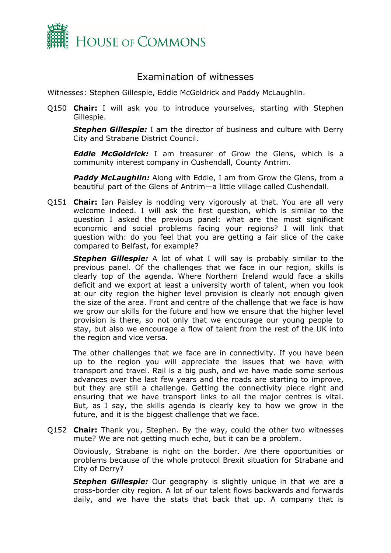

### <span id="page-1-0"></span>Examination of witnesses

Witnesses: Stephen Gillespie, Eddie McGoldrick and Paddy McLaughlin.

Q150 **Chair:** I will ask you to introduce yourselves, starting with Stephen Gillespie.

*Stephen Gillespie:* I am the director of business and culture with Derry City and Strabane District Council.

*Eddie McGoldrick:* I am treasurer of Grow the Glens, which is a community interest company in Cushendall, County Antrim.

*Paddy McLaughlin:* Along with Eddie, I am from Grow the Glens, from a beautiful part of the Glens of Antrim—a little village called Cushendall.

Q151 **Chair:** Ian Paisley is nodding very vigorously at that. You are all very welcome indeed. I will ask the first question, which is similar to the question I asked the previous panel: what are the most significant economic and social problems facing your regions? I will link that question with: do you feel that you are getting a fair slice of the cake compared to Belfast, for example?

*Stephen Gillespie:* A lot of what I will say is probably similar to the previous panel. Of the challenges that we face in our region, skills is clearly top of the agenda. Where Northern Ireland would face a skills deficit and we export at least a university worth of talent, when you look at our city region the higher level provision is clearly not enough given the size of the area. Front and centre of the challenge that we face is how we grow our skills for the future and how we ensure that the higher level provision is there, so not only that we encourage our young people to stay, but also we encourage a flow of talent from the rest of the UK into the region and vice versa.

The other challenges that we face are in connectivity. If you have been up to the region you will appreciate the issues that we have with transport and travel. Rail is a big push, and we have made some serious advances over the last few years and the roads are starting to improve, but they are still a challenge. Getting the connectivity piece right and ensuring that we have transport links to all the major centres is vital. But, as I say, the skills agenda is clearly key to how we grow in the future, and it is the biggest challenge that we face.

Q152 **Chair:** Thank you, Stephen. By the way, could the other two witnesses mute? We are not getting much echo, but it can be a problem.

Obviously, Strabane is right on the border. Are there opportunities or problems because of the whole protocol Brexit situation for Strabane and City of Derry?

*Stephen Gillespie:* Our geography is slightly unique in that we are a cross-border city region. A lot of our talent flows backwards and forwards daily, and we have the stats that back that up. A company that is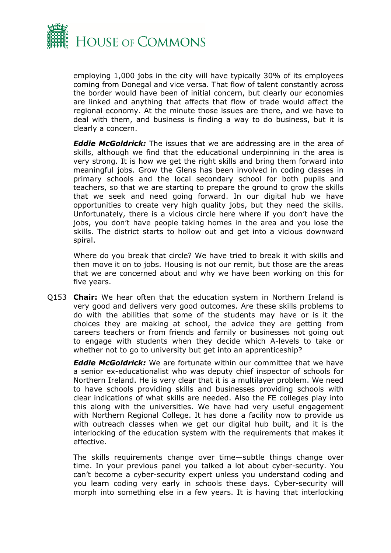

employing 1,000 jobs in the city will have typically 30% of its employees coming from Donegal and vice versa. That flow of talent constantly across the border would have been of initial concern, but clearly our economies are linked and anything that affects that flow of trade would affect the regional economy. At the minute those issues are there, and we have to deal with them, and business is finding a way to do business, but it is clearly a concern.

*Eddie McGoldrick:* The issues that we are addressing are in the area of skills, although we find that the educational underpinning in the area is very strong. It is how we get the right skills and bring them forward into meaningful jobs. Grow the Glens has been involved in coding classes in primary schools and the local secondary school for both pupils and teachers, so that we are starting to prepare the ground to grow the skills that we seek and need going forward. In our digital hub we have opportunities to create very high quality jobs, but they need the skills. Unfortunately, there is a vicious circle here where if you don't have the jobs, you don't have people taking homes in the area and you lose the skills. The district starts to hollow out and get into a vicious downward spiral.

Where do you break that circle? We have tried to break it with skills and then move it on to jobs. Housing is not our remit, but those are the areas that we are concerned about and why we have been working on this for five years.

Q153 **Chair:** We hear often that the education system in Northern Ireland is very good and delivers very good outcomes. Are these skills problems to do with the abilities that some of the students may have or is it the choices they are making at school, the advice they are getting from careers teachers or from friends and family or businesses not going out to engage with students when they decide which A-levels to take or whether not to go to university but get into an apprenticeship?

*Eddie McGoldrick:* We are fortunate within our committee that we have a senior ex-educationalist who was deputy chief inspector of schools for Northern Ireland. He is very clear that it is a multilayer problem. We need to have schools providing skills and businesses providing schools with clear indications of what skills are needed. Also the FE colleges play into this along with the universities. We have had very useful engagement with Northern Regional College. It has done a facility now to provide us with outreach classes when we get our digital hub built, and it is the interlocking of the education system with the requirements that makes it effective.

The skills requirements change over time—subtle things change over time. In your previous panel you talked a lot about cyber-security. You can't become a cyber-security expert unless you understand coding and you learn coding very early in schools these days. Cyber-security will morph into something else in a few years. It is having that interlocking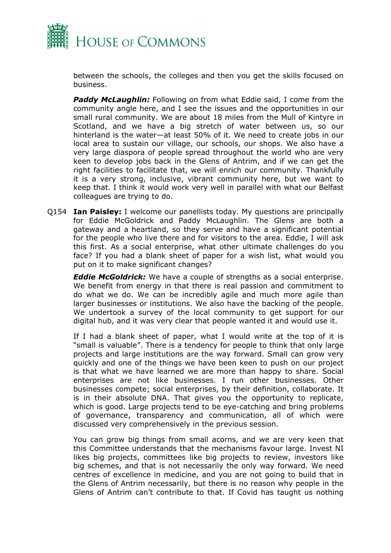

between the schools, the colleges and then you get the skills focused on business.

*Paddy McLaughlin:* Following on from what Eddie said, I come from the community angle here, and I see the issues and the opportunities in our small rural community. We are about 18 miles from the Mull of Kintyre in Scotland, and we have a big stretch of water between us, so our hinterland is the water—at least 50% of it. We need to create jobs in our local area to sustain our village, our schools, our shops. We also have a very large diaspora of people spread throughout the world who are very keen to develop jobs back in the Glens of Antrim, and if we can get the right facilities to facilitate that, we will enrich our community. Thankfully it is a very strong, inclusive, vibrant community here, but we want to keep that. I think it would work very well in parallel with what our Belfast colleagues are trying to do.

Q154 **Ian Paisley:** I welcome our panellists today. My questions are principally for Eddie McGoldrick and Paddy McLaughlin. The Glens are both a gateway and a heartland, so they serve and have a significant potential for the people who live there and for visitors to the area. Eddie, I will ask this first. As a social enterprise, what other ultimate challenges do you face? If you had a blank sheet of paper for a wish list, what would you put on it to make significant changes?

*Eddie McGoldrick:* We have a couple of strengths as a social enterprise. We benefit from energy in that there is real passion and commitment to do what we do. We can be incredibly agile and much more agile than larger businesses or institutions. We also have the backing of the people. We undertook a survey of the local community to get support for our digital hub, and it was very clear that people wanted it and would use it.

If I had a blank sheet of paper, what I would write at the top of it is "small is valuable". There is a tendency for people to think that only large projects and large institutions are the way forward. Small can grow very quickly and one of the things we have been keen to push on our project is that what we have learned we are more than happy to share. Social enterprises are not like businesses. I run other businesses. Other businesses compete; social enterprises, by their definition, collaborate. It is in their absolute DNA. That gives you the opportunity to replicate, which is good. Large projects tend to be eye-catching and bring problems of governance, transparency and communication, all of which were discussed very comprehensively in the previous session.

You can grow big things from small acorns, and we are very keen that this Committee understands that the mechanisms favour large. Invest NI likes big projects, committees like big projects to review, investors like big schemes, and that is not necessarily the only way forward. We need centres of excellence in medicine, and you are not going to build that in the Glens of Antrim necessarily, but there is no reason why people in the Glens of Antrim can't contribute to that. If Covid has taught us nothing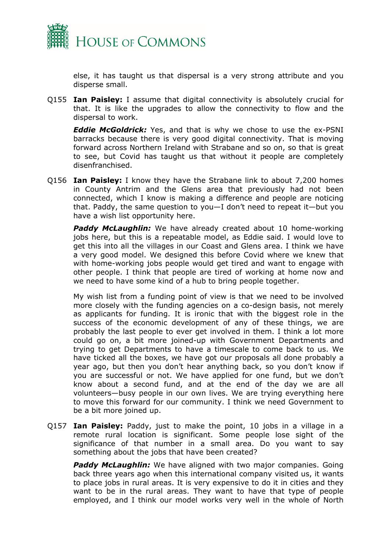

else, it has taught us that dispersal is a very strong attribute and you disperse small.

Q155 **Ian Paisley:** I assume that digital connectivity is absolutely crucial for that. It is like the upgrades to allow the connectivity to flow and the dispersal to work.

*Eddie McGoldrick:* Yes, and that is why we chose to use the ex-PSNI barracks because there is very good digital connectivity. That is moving forward across Northern Ireland with Strabane and so on, so that is great to see, but Covid has taught us that without it people are completely disenfranchised.

Q156 **Ian Paisley:** I know they have the Strabane link to about 7,200 homes in County Antrim and the Glens area that previously had not been connected, which I know is making a difference and people are noticing that. Paddy, the same question to you—I don't need to repeat it—but you have a wish list opportunity here.

*Paddy McLaughlin:* We have already created about 10 home-working jobs here, but this is a repeatable model, as Eddie said. I would love to get this into all the villages in our Coast and Glens area. I think we have a very good model. We designed this before Covid where we knew that with home-working jobs people would get tired and want to engage with other people. I think that people are tired of working at home now and we need to have some kind of a hub to bring people together.

My wish list from a funding point of view is that we need to be involved more closely with the funding agencies on a co-design basis, not merely as applicants for funding. It is ironic that with the biggest role in the success of the economic development of any of these things, we are probably the last people to ever get involved in them. I think a lot more could go on, a bit more joined-up with Government Departments and trying to get Departments to have a timescale to come back to us. We have ticked all the boxes, we have got our proposals all done probably a year ago, but then you don't hear anything back, so you don't know if you are successful or not. We have applied for one fund, but we don't know about a second fund, and at the end of the day we are all volunteers—busy people in our own lives. We are trying everything here to move this forward for our community. I think we need Government to be a bit more joined up.

Q157 **Ian Paisley:** Paddy, just to make the point, 10 jobs in a village in a remote rural location is significant. Some people lose sight of the significance of that number in a small area. Do you want to say something about the jobs that have been created?

**Paddy McLaughlin:** We have aligned with two major companies. Going back three years ago when this international company visited us, it wants to place jobs in rural areas. It is very expensive to do it in cities and they want to be in the rural areas. They want to have that type of people employed, and I think our model works very well in the whole of North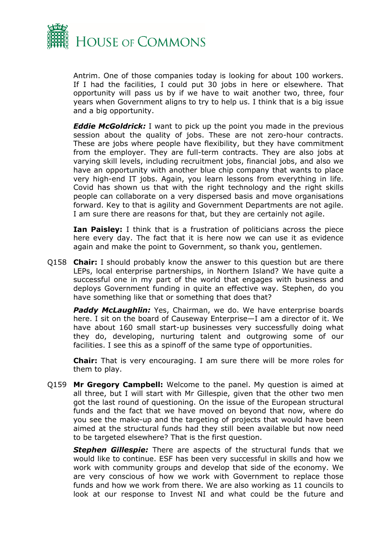

Antrim. One of those companies today is looking for about 100 workers. If I had the facilities, I could put 30 jobs in here or elsewhere. That opportunity will pass us by if we have to wait another two, three, four years when Government aligns to try to help us. I think that is a big issue and a big opportunity.

*Eddie McGoldrick:* I want to pick up the point you made in the previous session about the quality of jobs. These are not zero-hour contracts. These are jobs where people have flexibility, but they have commitment from the employer. They are full-term contracts. They are also jobs at varying skill levels, including recruitment jobs, financial jobs, and also we have an opportunity with another blue chip company that wants to place very high-end IT jobs. Again, you learn lessons from everything in life. Covid has shown us that with the right technology and the right skills people can collaborate on a very dispersed basis and move organisations forward. Key to that is agility and Government Departments are not agile. I am sure there are reasons for that, but they are certainly not agile.

**Ian Paisley:** I think that is a frustration of politicians across the piece here every day. The fact that it is here now we can use it as evidence again and make the point to Government, so thank you, gentlemen.

Q158 **Chair:** I should probably know the answer to this question but are there LEPs, local enterprise partnerships, in Northern Island? We have quite a successful one in my part of the world that engages with business and deploys Government funding in quite an effective way. Stephen, do you have something like that or something that does that?

**Paddy McLaughlin:** Yes, Chairman, we do. We have enterprise boards here. I sit on the board of Causeway Enterprise—I am a director of it. We have about 160 small start-up businesses very successfully doing what they do, developing, nurturing talent and outgrowing some of our facilities. I see this as a spinoff of the same type of opportunities.

**Chair:** That is very encouraging. I am sure there will be more roles for them to play.

Q159 **Mr Gregory Campbell:** Welcome to the panel. My question is aimed at all three, but I will start with Mr Gillespie, given that the other two men got the last round of questioning. On the issue of the European structural funds and the fact that we have moved on beyond that now, where do you see the make-up and the targeting of projects that would have been aimed at the structural funds had they still been available but now need to be targeted elsewhere? That is the first question.

*Stephen Gillespie:* There are aspects of the structural funds that we would like to continue. ESF has been very successful in skills and how we work with community groups and develop that side of the economy. We are very conscious of how we work with Government to replace those funds and how we work from there. We are also working as 11 councils to look at our response to Invest NI and what could be the future and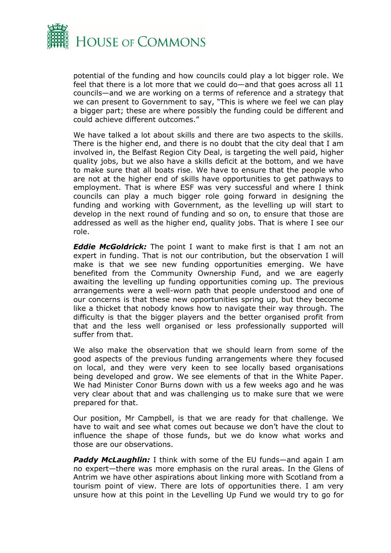

potential of the funding and how councils could play a lot bigger role. We feel that there is a lot more that we could do—and that goes across all 11 councils—and we are working on a terms of reference and a strategy that we can present to Government to say, "This is where we feel we can play a bigger part; these are where possibly the funding could be different and could achieve different outcomes."

We have talked a lot about skills and there are two aspects to the skills. There is the higher end, and there is no doubt that the city deal that I am involved in, the Belfast Region City Deal, is targeting the well paid, higher quality jobs, but we also have a skills deficit at the bottom, and we have to make sure that all boats rise. We have to ensure that the people who are not at the higher end of skills have opportunities to get pathways to employment. That is where ESF was very successful and where I think councils can play a much bigger role going forward in designing the funding and working with Government, as the levelling up will start to develop in the next round of funding and so on, to ensure that those are addressed as well as the higher end, quality jobs. That is where I see our role.

*Eddie McGoldrick:* The point I want to make first is that I am not an expert in funding. That is not our contribution, but the observation I will make is that we see new funding opportunities emerging. We have benefited from the Community Ownership Fund, and we are eagerly awaiting the levelling up funding opportunities coming up. The previous arrangements were a well-worn path that people understood and one of our concerns is that these new opportunities spring up, but they become like a thicket that nobody knows how to navigate their way through. The difficulty is that the bigger players and the better organised profit from that and the less well organised or less professionally supported will suffer from that.

We also make the observation that we should learn from some of the good aspects of the previous funding arrangements where they focused on local, and they were very keen to see locally based organisations being developed and grow. We see elements of that in the White Paper. We had Minister Conor Burns down with us a few weeks ago and he was very clear about that and was challenging us to make sure that we were prepared for that.

Our position, Mr Campbell, is that we are ready for that challenge. We have to wait and see what comes out because we don't have the clout to influence the shape of those funds, but we do know what works and those are our observations.

*Paddy McLaughlin:* I think with some of the EU funds—and again I am no expert—there was more emphasis on the rural areas. In the Glens of Antrim we have other aspirations about linking more with Scotland from a tourism point of view. There are lots of opportunities there. I am very unsure how at this point in the Levelling Up Fund we would try to go for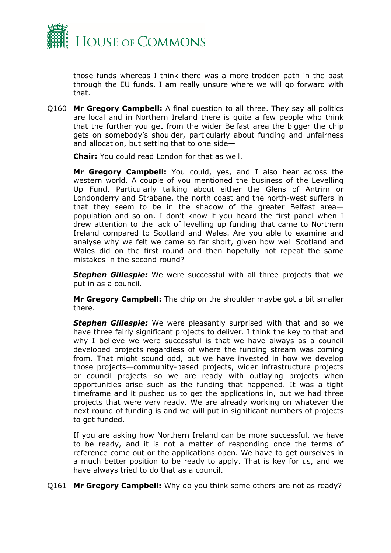

those funds whereas I think there was a more trodden path in the past through the EU funds. I am really unsure where we will go forward with that.

Q160 **Mr Gregory Campbell:** A final question to all three. They say all politics are local and in Northern Ireland there is quite a few people who think that the further you get from the wider Belfast area the bigger the chip gets on somebody's shoulder, particularly about funding and unfairness and allocation, but setting that to one side—

**Chair:** You could read London for that as well.

**Mr Gregory Campbell:** You could, yes, and I also hear across the western world. A couple of you mentioned the business of the Levelling Up Fund. Particularly talking about either the Glens of Antrim or Londonderry and Strabane, the north coast and the north-west suffers in that they seem to be in the shadow of the greater Belfast area population and so on. I don't know if you heard the first panel when I drew attention to the lack of levelling up funding that came to Northern Ireland compared to Scotland and Wales. Are you able to examine and analyse why we felt we came so far short, given how well Scotland and Wales did on the first round and then hopefully not repeat the same mistakes in the second round?

*Stephen Gillespie:* We were successful with all three projects that we put in as a council.

**Mr Gregory Campbell:** The chip on the shoulder maybe got a bit smaller there.

*Stephen Gillespie:* We were pleasantly surprised with that and so we have three fairly significant projects to deliver. I think the key to that and why I believe we were successful is that we have always as a council developed projects regardless of where the funding stream was coming from. That might sound odd, but we have invested in how we develop those projects—community-based projects, wider infrastructure projects or council projects—so we are ready with outlaying projects when opportunities arise such as the funding that happened. It was a tight timeframe and it pushed us to get the applications in, but we had three projects that were very ready. We are already working on whatever the next round of funding is and we will put in significant numbers of projects to get funded.

If you are asking how Northern Ireland can be more successful, we have to be ready, and it is not a matter of responding once the terms of reference come out or the applications open. We have to get ourselves in a much better position to be ready to apply. That is key for us, and we have always tried to do that as a council.

Q161 **Mr Gregory Campbell:** Why do you think some others are not as ready?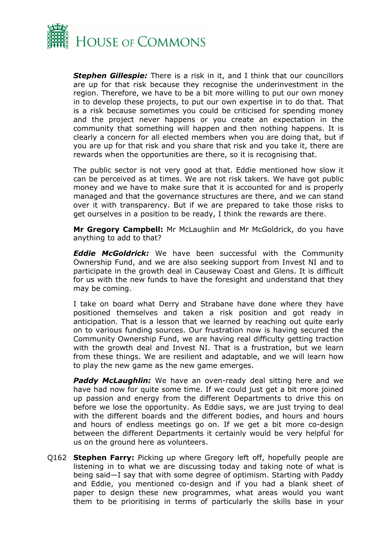

*Stephen Gillespie:* There is a risk in it, and I think that our councillors are up for that risk because they recognise the underinvestment in the region. Therefore, we have to be a bit more willing to put our own money in to develop these projects, to put our own expertise in to do that. That is a risk because sometimes you could be criticised for spending money and the project never happens or you create an expectation in the community that something will happen and then nothing happens. It is clearly a concern for all elected members when you are doing that, but if you are up for that risk and you share that risk and you take it, there are rewards when the opportunities are there, so it is recognising that.

The public sector is not very good at that. Eddie mentioned how slow it can be perceived as at times. We are not risk takers. We have got public money and we have to make sure that it is accounted for and is properly managed and that the governance structures are there, and we can stand over it with transparency. But if we are prepared to take those risks to get ourselves in a position to be ready, I think the rewards are there.

**Mr Gregory Campbell:** Mr McLaughlin and Mr McGoldrick, do you have anything to add to that?

*Eddie McGoldrick:* We have been successful with the Community Ownership Fund, and we are also seeking support from Invest NI and to participate in the growth deal in Causeway Coast and Glens. It is difficult for us with the new funds to have the foresight and understand that they may be coming.

I take on board what Derry and Strabane have done where they have positioned themselves and taken a risk position and got ready in anticipation. That is a lesson that we learned by reaching out quite early on to various funding sources. Our frustration now is having secured the Community Ownership Fund, we are having real difficulty getting traction with the growth deal and Invest NI. That is a frustration, but we learn from these things. We are resilient and adaptable, and we will learn how to play the new game as the new game emerges.

**Paddy McLaughlin:** We have an oven-ready deal sitting here and we have had now for quite some time. If we could just get a bit more joined up passion and energy from the different Departments to drive this on before we lose the opportunity. As Eddie says, we are just trying to deal with the different boards and the different bodies, and hours and hours and hours of endless meetings go on. If we get a bit more co-design between the different Departments it certainly would be very helpful for us on the ground here as volunteers.

Q162 **Stephen Farry:** Picking up where Gregory left off, hopefully people are listening in to what we are discussing today and taking note of what is being said—I say that with some degree of optimism. Starting with Paddy and Eddie, you mentioned co-design and if you had a blank sheet of paper to design these new programmes, what areas would you want them to be prioritising in terms of particularly the skills base in your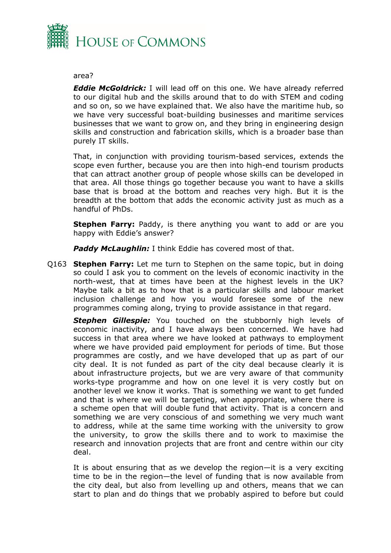

#### area?

*Eddie McGoldrick:* I will lead off on this one. We have already referred to our digital hub and the skills around that to do with STEM and coding and so on, so we have explained that. We also have the maritime hub, so we have very successful boat-building businesses and maritime services businesses that we want to grow on, and they bring in engineering design skills and construction and fabrication skills, which is a broader base than purely IT skills.

That, in conjunction with providing tourism-based services, extends the scope even further, because you are then into high-end tourism products that can attract another group of people whose skills can be developed in that area. All those things go together because you want to have a skills base that is broad at the bottom and reaches very high. But it is the breadth at the bottom that adds the economic activity just as much as a handful of PhDs.

**Stephen Farry:** Paddy, is there anything you want to add or are you happy with Eddie's answer?

*Paddy McLaughlin:* I think Eddie has covered most of that.

Q163 **Stephen Farry:** Let me turn to Stephen on the same topic, but in doing so could I ask you to comment on the levels of economic inactivity in the north-west, that at times have been at the highest levels in the UK? Maybe talk a bit as to how that is a particular skills and labour market inclusion challenge and how you would foresee some of the new programmes coming along, trying to provide assistance in that regard.

*Stephen Gillespie:* You touched on the stubbornly high levels of economic inactivity, and I have always been concerned. We have had success in that area where we have looked at pathways to employment where we have provided paid employment for periods of time. But those programmes are costly, and we have developed that up as part of our city deal. It is not funded as part of the city deal because clearly it is about infrastructure projects, but we are very aware of that community works-type programme and how on one level it is very costly but on another level we know it works. That is something we want to get funded and that is where we will be targeting, when appropriate, where there is a scheme open that will double fund that activity. That is a concern and something we are very conscious of and something we very much want to address, while at the same time working with the university to grow the university, to grow the skills there and to work to maximise the research and innovation projects that are front and centre within our city deal.

It is about ensuring that as we develop the region—it is a very exciting time to be in the region—the level of funding that is now available from the city deal, but also from levelling up and others, means that we can start to plan and do things that we probably aspired to before but could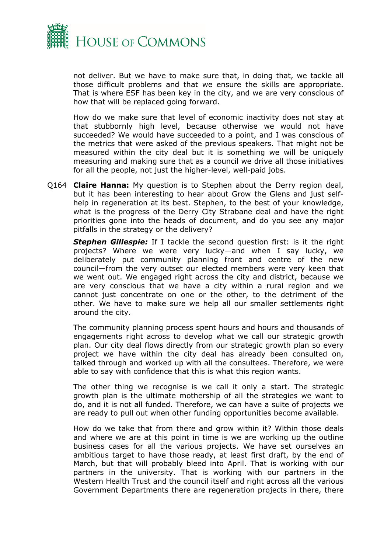

not deliver. But we have to make sure that, in doing that, we tackle all those difficult problems and that we ensure the skills are appropriate. That is where ESF has been key in the city, and we are very conscious of how that will be replaced going forward.

How do we make sure that level of economic inactivity does not stay at that stubbornly high level, because otherwise we would not have succeeded? We would have succeeded to a point, and I was conscious of the metrics that were asked of the previous speakers. That might not be measured within the city deal but it is something we will be uniquely measuring and making sure that as a council we drive all those initiatives for all the people, not just the higher-level, well-paid jobs.

Q164 **Claire Hanna:** My question is to Stephen about the Derry region deal, but it has been interesting to hear about Grow the Glens and just selfhelp in regeneration at its best. Stephen, to the best of your knowledge, what is the progress of the Derry City Strabane deal and have the right priorities gone into the heads of document, and do you see any major pitfalls in the strategy or the delivery?

*Stephen Gillespie:* If I tackle the second question first: is it the right projects? Where we were very lucky—and when I say lucky, we deliberately put community planning front and centre of the new council—from the very outset our elected members were very keen that we went out. We engaged right across the city and district, because we are very conscious that we have a city within a rural region and we cannot just concentrate on one or the other, to the detriment of the other. We have to make sure we help all our smaller settlements right around the city.

The community planning process spent hours and hours and thousands of engagements right across to develop what we call our strategic growth plan. Our city deal flows directly from our strategic growth plan so every project we have within the city deal has already been consulted on, talked through and worked up with all the consultees. Therefore, we were able to say with confidence that this is what this region wants.

The other thing we recognise is we call it only a start. The strategic growth plan is the ultimate mothership of all the strategies we want to do, and it is not all funded. Therefore, we can have a suite of projects we are ready to pull out when other funding opportunities become available.

How do we take that from there and grow within it? Within those deals and where we are at this point in time is we are working up the outline business cases for all the various projects. We have set ourselves an ambitious target to have those ready, at least first draft, by the end of March, but that will probably bleed into April. That is working with our partners in the university. That is working with our partners in the Western Health Trust and the council itself and right across all the various Government Departments there are regeneration projects in there, there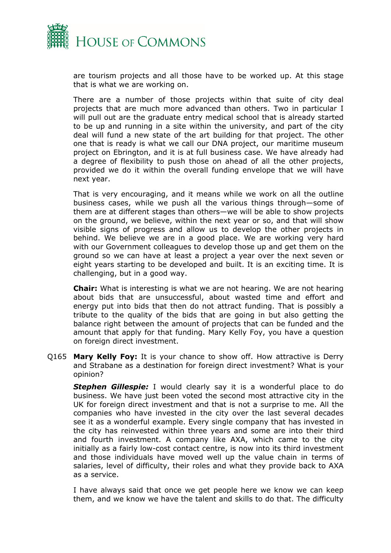

are tourism projects and all those have to be worked up. At this stage that is what we are working on.

There are a number of those projects within that suite of city deal projects that are much more advanced than others. Two in particular I will pull out are the graduate entry medical school that is already started to be up and running in a site within the university, and part of the city deal will fund a new state of the art building for that project. The other one that is ready is what we call our DNA project, our maritime museum project on Ebrington, and it is at full business case. We have already had a degree of flexibility to push those on ahead of all the other projects, provided we do it within the overall funding envelope that we will have next year.

That is very encouraging, and it means while we work on all the outline business cases, while we push all the various things through—some of them are at different stages than others—we will be able to show projects on the ground, we believe, within the next year or so, and that will show visible signs of progress and allow us to develop the other projects in behind. We believe we are in a good place. We are working very hard with our Government colleagues to develop those up and get them on the ground so we can have at least a project a year over the next seven or eight years starting to be developed and built. It is an exciting time. It is challenging, but in a good way.

**Chair:** What is interesting is what we are not hearing. We are not hearing about bids that are unsuccessful, about wasted time and effort and energy put into bids that then do not attract funding. That is possibly a tribute to the quality of the bids that are going in but also getting the balance right between the amount of projects that can be funded and the amount that apply for that funding. Mary Kelly Foy, you have a question on foreign direct investment.

Q165 **Mary Kelly Foy:** It is your chance to show off. How attractive is Derry and Strabane as a destination for foreign direct investment? What is your opinion?

**Stephen Gillespie:** I would clearly say it is a wonderful place to do business. We have just been voted the second most attractive city in the UK for foreign direct investment and that is not a surprise to me. All the companies who have invested in the city over the last several decades see it as a wonderful example. Every single company that has invested in the city has reinvested within three years and some are into their third and fourth investment. A company like AXA, which came to the city initially as a fairly low-cost contact centre, is now into its third investment and those individuals have moved well up the value chain in terms of salaries, level of difficulty, their roles and what they provide back to AXA as a service.

I have always said that once we get people here we know we can keep them, and we know we have the talent and skills to do that. The difficulty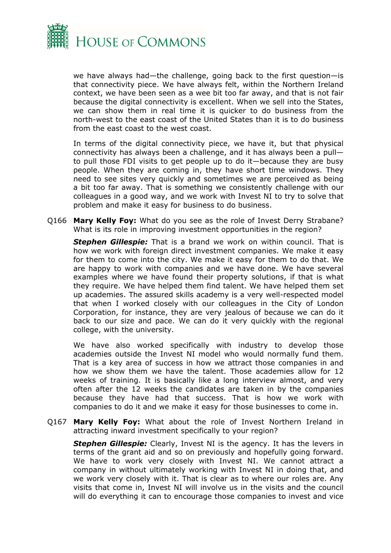

we have always had—the challenge, going back to the first question—is that connectivity piece. We have always felt, within the Northern Ireland context, we have been seen as a wee bit too far away, and that is not fair because the digital connectivity is excellent. When we sell into the States, we can show them in real time it is quicker to do business from the north-west to the east coast of the United States than it is to do business from the east coast to the west coast.

In terms of the digital connectivity piece, we have it, but that physical connectivity has always been a challenge, and it has always been a pull to pull those FDI visits to get people up to do it—because they are busy people. When they are coming in, they have short time windows. They need to see sites very quickly and sometimes we are perceived as being a bit too far away. That is something we consistently challenge with our colleagues in a good way, and we work with Invest NI to try to solve that problem and make it easy for business to do business.

Q166 **Mary Kelly Foy:** What do you see as the role of Invest Derry Strabane? What is its role in improving investment opportunities in the region?

*Stephen Gillespie:* That is a brand we work on within council. That is how we work with foreign direct investment companies. We make it easy for them to come into the city. We make it easy for them to do that. We are happy to work with companies and we have done. We have several examples where we have found their property solutions, if that is what they require. We have helped them find talent. We have helped them set up academies. The assured skills academy is a very well-respected model that when I worked closely with our colleagues in the City of London Corporation, for instance, they are very jealous of because we can do it back to our size and pace. We can do it very quickly with the regional college, with the university.

We have also worked specifically with industry to develop those academies outside the Invest NI model who would normally fund them. That is a key area of success in how we attract those companies in and how we show them we have the talent. Those academies allow for 12 weeks of training. It is basically like a long interview almost, and very often after the 12 weeks the candidates are taken in by the companies because they have had that success. That is how we work with companies to do it and we make it easy for those businesses to come in.

Q167 **Mary Kelly Foy:** What about the role of Invest Northern Ireland in attracting inward investment specifically to your region?

*Stephen Gillespie:* Clearly, Invest NI is the agency. It has the levers in terms of the grant aid and so on previously and hopefully going forward. We have to work very closely with Invest NI. We cannot attract a company in without ultimately working with Invest NI in doing that, and we work very closely with it. That is clear as to where our roles are. Any visits that come in, Invest NI will involve us in the visits and the council will do everything it can to encourage those companies to invest and vice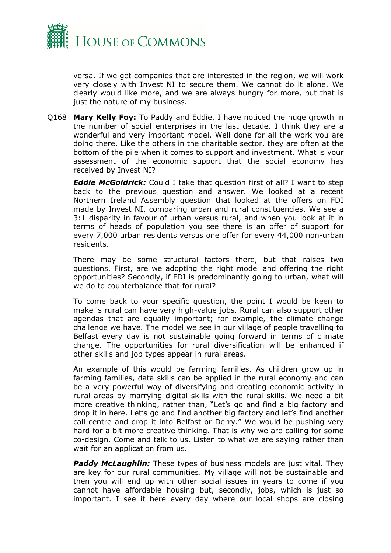

versa. If we get companies that are interested in the region, we will work very closely with Invest NI to secure them. We cannot do it alone. We clearly would like more, and we are always hungry for more, but that is just the nature of my business.

Q168 **Mary Kelly Foy:** To Paddy and Eddie, I have noticed the huge growth in the number of social enterprises in the last decade. I think they are a wonderful and very important model. Well done for all the work you are doing there. Like the others in the charitable sector, they are often at the bottom of the pile when it comes to support and investment. What is your assessment of the economic support that the social economy has received by Invest NI?

*Eddie McGoldrick:* Could I take that question first of all? I want to step back to the previous question and answer. We looked at a recent Northern Ireland Assembly question that looked at the offers on FDI made by Invest NI, comparing urban and rural constituencies. We see a 3:1 disparity in favour of urban versus rural, and when you look at it in terms of heads of population you see there is an offer of support for every 7,000 urban residents versus one offer for every 44,000 non-urban residents.

There may be some structural factors there, but that raises two questions. First, are we adopting the right model and offering the right opportunities? Secondly, if FDI is predominantly going to urban, what will we do to counterbalance that for rural?

To come back to your specific question, the point I would be keen to make is rural can have very high-value jobs. Rural can also support other agendas that are equally important; for example, the climate change challenge we have. The model we see in our village of people travelling to Belfast every day is not sustainable going forward in terms of climate change. The opportunities for rural diversification will be enhanced if other skills and job types appear in rural areas.

An example of this would be farming families. As children grow up in farming families, data skills can be applied in the rural economy and can be a very powerful way of diversifying and creating economic activity in rural areas by marrying digital skills with the rural skills. We need a bit more creative thinking, rather than, "Let's go and find a big factory and drop it in here. Let's go and find another big factory and let's find another call centre and drop it into Belfast or Derry." We would be pushing very hard for a bit more creative thinking. That is why we are calling for some co-design. Come and talk to us. Listen to what we are saying rather than wait for an application from us.

*Paddy McLaughlin:* These types of business models are just vital. They are key for our rural communities. My village will not be sustainable and then you will end up with other social issues in years to come if you cannot have affordable housing but, secondly, jobs, which is just so important. I see it here every day where our local shops are closing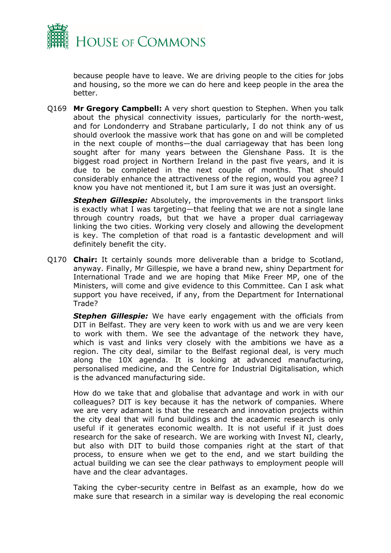

because people have to leave. We are driving people to the cities for jobs and housing, so the more we can do here and keep people in the area the better.

Q169 **Mr Gregory Campbell:** A very short question to Stephen. When you talk about the physical connectivity issues, particularly for the north-west, and for Londonderry and Strabane particularly, I do not think any of us should overlook the massive work that has gone on and will be completed in the next couple of months—the dual carriageway that has been long sought after for many years between the Glenshane Pass. It is the biggest road project in Northern Ireland in the past five years, and it is due to be completed in the next couple of months. That should considerably enhance the attractiveness of the region, would you agree? I know you have not mentioned it, but I am sure it was just an oversight.

*Stephen Gillespie:* Absolutely, the improvements in the transport links is exactly what I was targeting—that feeling that we are not a single lane through country roads, but that we have a proper dual carriageway linking the two cities. Working very closely and allowing the development is key. The completion of that road is a fantastic development and will definitely benefit the city.

Q170 **Chair:** It certainly sounds more deliverable than a bridge to Scotland, anyway. Finally, Mr Gillespie, we have a brand new, shiny Department for International Trade and we are hoping that Mike Freer MP, one of the Ministers, will come and give evidence to this Committee. Can I ask what support you have received, if any, from the Department for International Trade?

*Stephen Gillespie:* We have early engagement with the officials from DIT in Belfast. They are very keen to work with us and we are very keen to work with them. We see the advantage of the network they have, which is vast and links very closely with the ambitions we have as a region. The city deal, similar to the Belfast regional deal, is very much along the 10X agenda. It is looking at advanced manufacturing, personalised medicine, and the Centre for Industrial Digitalisation, which is the advanced manufacturing side.

How do we take that and globalise that advantage and work in with our colleagues? DIT is key because it has the network of companies. Where we are very adamant is that the research and innovation projects within the city deal that will fund buildings and the academic research is only useful if it generates economic wealth. It is not useful if it just does research for the sake of research. We are working with Invest NI, clearly, but also with DIT to build those companies right at the start of that process, to ensure when we get to the end, and we start building the actual building we can see the clear pathways to employment people will have and the clear advantages.

Taking the cyber-security centre in Belfast as an example, how do we make sure that research in a similar way is developing the real economic